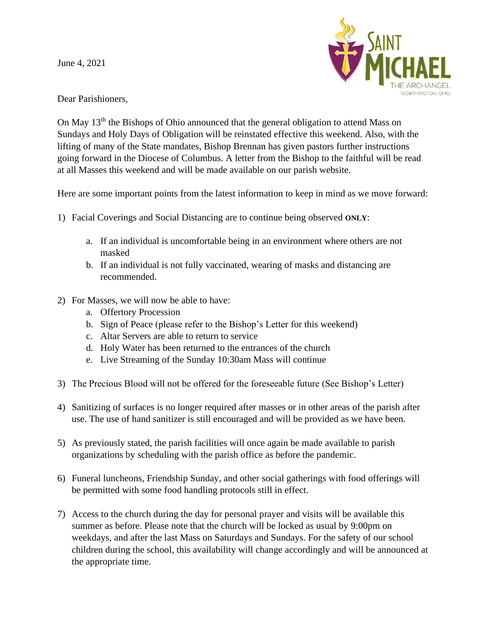June 4, 2021



Dear Parishioners,

On May 13th the Bishops of Ohio announced that the general obligation to attend Mass on Sundays and Holy Days of Obligation will be reinstated effective this weekend. Also, with the lifting of many of the State mandates, Bishop Brennan has given pastors further instructions going forward in the Diocese of Columbus. A letter from the Bishop to the faithful will be read at all Masses this weekend and will be made available on our parish website.

Here are some important points from the latest information to keep in mind as we move forward:

- 1) Facial Coverings and Social Distancing are to continue being observed **ONLY**:
	- a. If an individual is uncomfortable being in an environment where others are not masked
	- b. If an individual is not fully vaccinated, wearing of masks and distancing are recommended.
- 2) For Masses, we will now be able to have:
	- a. Offertory Procession
	- b. Sign of Peace (please refer to the Bishop's Letter for this weekend)
	- c. Altar Servers are able to return to service
	- d. Holy Water has been returned to the entrances of the church
	- e. Live Streaming of the Sunday 10:30am Mass will continue
- 3) The Precious Blood will not be offered for the foreseeable future (See Bishop's Letter)
- 4) Sanitizing of surfaces is no longer required after masses or in other areas of the parish after use. The use of hand sanitizer is still encouraged and will be provided as we have been.
- 5) As previously stated, the parish facilities will once again be made available to parish organizations by scheduling with the parish office as before the pandemic.
- 6) Funeral luncheons, Friendship Sunday, and other social gatherings with food offerings will be permitted with some food handling protocols still in effect.
- 7) Access to the church during the day for personal prayer and visits will be available this summer as before. Please note that the church will be locked as usual by 9:00pm on weekdays, and after the last Mass on Saturdays and Sundays. For the safety of our school children during the school, this availability will change accordingly and will be announced at the appropriate time.